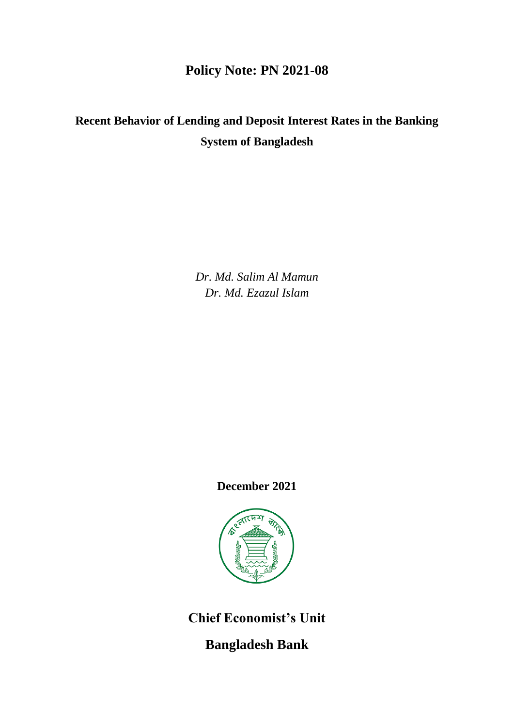## **Policy Note: PN 2021-08**

# **Recent Behavior of Lending and Deposit Interest Rates in the Banking System of Bangladesh**

*Dr. Md. Salim Al Mamun Dr. Md. Ezazul Islam*

**December 2021**



**Chief Economist's Unit**

**Bangladesh Bank**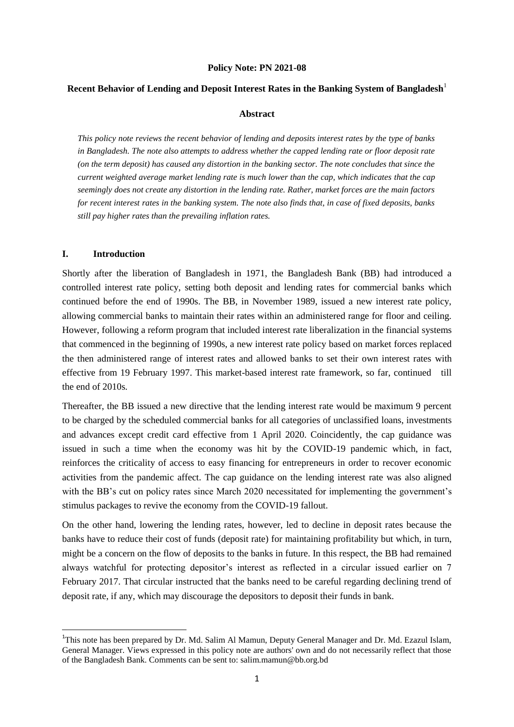#### **Policy Note: PN 2021-08**

#### **Recent Behavior of Lending and Deposit Interest Rates in the Banking System of Bangladesh**<sup>1</sup>

#### **Abstract**

*This policy note reviews the recent behavior of lending and deposits interest rates by the type of banks in Bangladesh. The note also attempts to address whether the capped lending rate or floor deposit rate (on the term deposit) has caused any distortion in the banking sector. The note concludes that since the current weighted average market lending rate is much lower than the cap, which indicates that the cap seemingly does not create any distortion in the lending rate. Rather, market forces are the main factors for recent interest rates in the banking system. The note also finds that, in case of fixed deposits, banks still pay higher rates than the prevailing inflation rates.*

#### **I. Introduction**

**.** 

Shortly after the liberation of Bangladesh in 1971, the Bangladesh Bank (BB) had introduced a controlled interest rate policy, setting both deposit and lending rates for commercial banks which continued before the end of 1990s. The BB, in November 1989, issued a new interest rate policy, allowing commercial banks to maintain their rates within an administered range for floor and ceiling. However, following a reform program that included interest rate liberalization in the financial systems that commenced in the beginning of 1990s, a new interest rate policy based on market forces replaced the then administered range of interest rates and allowed banks to set their own interest rates with effective from 19 February 1997. This market-based interest rate framework, so far, continued till the end of 2010s.

Thereafter, the BB issued a new directive that the lending interest rate would be maximum 9 percent to be charged by the scheduled commercial banks for all categories of unclassified loans, investments and advances except credit card effective from 1 April 2020. Coincidently, the cap guidance was issued in such a time when the economy was hit by the COVID-19 pandemic which, in fact, reinforces the criticality of access to easy financing for entrepreneurs in order to recover economic activities from the pandemic affect. The cap guidance on the lending interest rate was also aligned with the BB's cut on policy rates since March 2020 necessitated for implementing the government's stimulus packages to revive the economy from the COVID-19 fallout.

On the other hand, lowering the lending rates, however, led to decline in deposit rates because the banks have to reduce their cost of funds (deposit rate) for maintaining profitability but which, in turn, might be a concern on the flow of deposits to the banks in future. In this respect, the BB had remained always watchful for protecting depositor's interest as reflected in a circular issued earlier on 7 February 2017. That circular instructed that the banks need to be careful regarding declining trend of deposit rate, if any, which may discourage the depositors to deposit their funds in bank.

<sup>&</sup>lt;sup>1</sup>This note has been prepared by Dr. Md. Salim Al Mamun, Deputy General Manager and Dr. Md. Ezazul Islam, General Manager. Views expressed in this policy note are authors' own and do not necessarily reflect that those of the Bangladesh Bank. Comments can be sent to: salim.mamun@bb.org.bd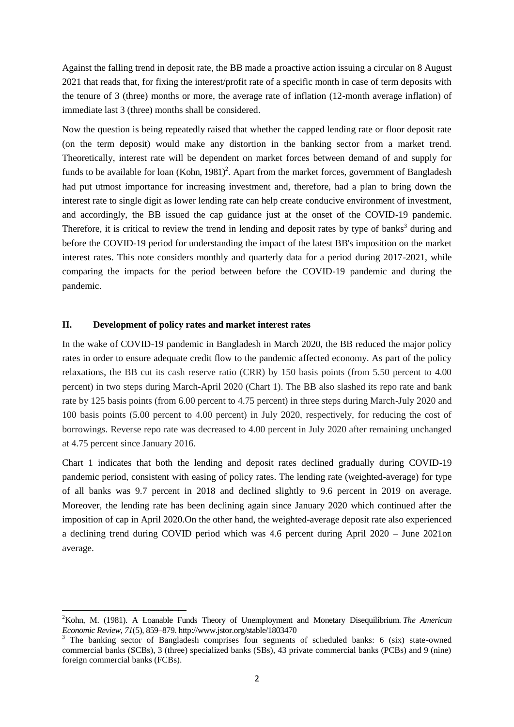Against the falling trend in deposit rate, the BB made a proactive action issuing a circular on 8 August 2021 that reads that, for fixing the interest/profit rate of a specific month in case of term deposits with the tenure of 3 (three) months or more, the average rate of inflation (12-month average inflation) of immediate last 3 (three) months shall be considered.

Now the question is being repeatedly raised that whether the capped lending rate or floor deposit rate (on the term deposit) would make any distortion in the banking sector from a market trend. Theoretically, interest rate will be dependent on market forces between demand of and supply for funds to be available for loan  $(Kohn, 1981)^2$ . Apart from the market forces, government of Bangladesh had put utmost importance for increasing investment and, therefore, had a plan to bring down the interest rate to single digit as lower lending rate can help create conducive environment of investment, and accordingly, the BB issued the cap guidance just at the onset of the COVID-19 pandemic. Therefore, it is critical to review the trend in lending and deposit rates by type of banks<sup>3</sup> during and before the COVID-19 period for understanding the impact of the latest BB's imposition on the market interest rates. This note considers monthly and quarterly data for a period during 2017-2021, while comparing the impacts for the period between before the COVID-19 pandemic and during the pandemic.

## **II. Development of policy rates and market interest rates**

**.** 

In the wake of COVID-19 pandemic in Bangladesh in March 2020, the BB reduced the major policy rates in order to ensure adequate credit flow to the pandemic affected economy. As part of the policy relaxations, the BB cut its cash reserve ratio (CRR) by 150 basis points (from 5.50 percent to 4.00 percent) in two steps during March-April 2020 (Chart 1). The BB also slashed its repo rate and bank rate by 125 basis points (from 6.00 percent to 4.75 percent) in three steps during March-July 2020 and 100 basis points (5.00 percent to 4.00 percent) in July 2020, respectively, for reducing the cost of borrowings. Reverse repo rate was decreased to 4.00 percent in July 2020 after remaining unchanged at 4.75 percent since January 2016.

Chart 1 indicates that both the lending and deposit rates declined gradually during COVID-19 pandemic period, consistent with easing of policy rates. The lending rate (weighted-average) for type of all banks was 9.7 percent in 2018 and declined slightly to 9.6 percent in 2019 on average. Moreover, the lending rate has been declining again since January 2020 which continued after the imposition of cap in April 2020.On the other hand, the weighted-average deposit rate also experienced a declining trend during COVID period which was 4.6 percent during April 2020 – June 2021on average.

<sup>2</sup>Kohn, M. (1981). A Loanable Funds Theory of Unemployment and Monetary Disequilibrium. *The American Economic Review*, *71*(5), 859–879. http://www.jstor.org/stable/1803470

<sup>&</sup>lt;sup>3</sup> The banking sector of Bangladesh comprises four segments of scheduled banks: 6 (six) state-owned commercial banks (SCBs), 3 (three) specialized banks (SBs), 43 private commercial banks (PCBs) and 9 (nine) foreign commercial banks (FCBs).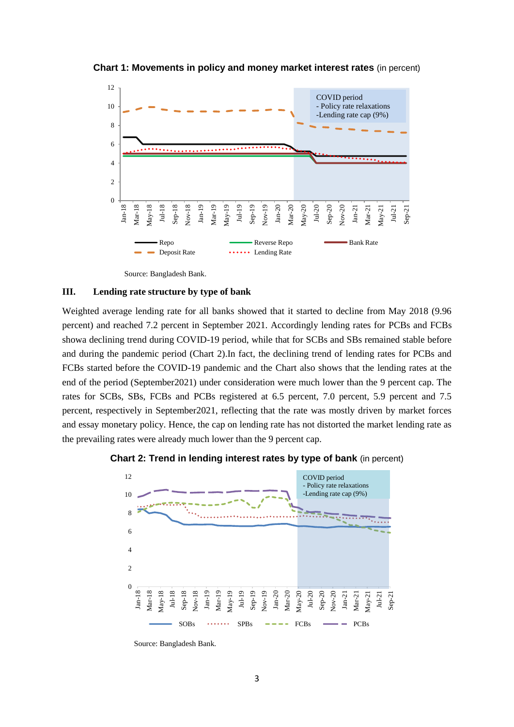**Chart 1: Movements in policy and money market interest rates** (in percent)



Source: Bangladesh Bank.

### **III. Lending rate structure by type of bank**

Weighted average lending rate for all banks showed that it started to decline from May 2018 (9.96 percent) and reached 7.2 percent in September 2021. Accordingly lending rates for PCBs and FCBs showa declining trend during COVID-19 period, while that for SCBs and SBs remained stable before and during the pandemic period (Chart 2).In fact, the declining trend of lending rates for PCBs and FCBs started before the COVID-19 pandemic and the Chart also shows that the lending rates at the end of the period (September2021) under consideration were much lower than the 9 percent cap. The rates for SCBs, SBs, FCBs and PCBs registered at 6.5 percent, 7.0 percent, 5.9 percent and 7.5 percent, respectively in September2021, reflecting that the rate was mostly driven by market forces and essay monetary policy. Hence, the cap on lending rate has not distorted the market lending rate as the prevailing rates were already much lower than the 9 percent cap.

**Chart 2: Trend in lending interest rates by type of bank** (in percent)



Source: Bangladesh Bank.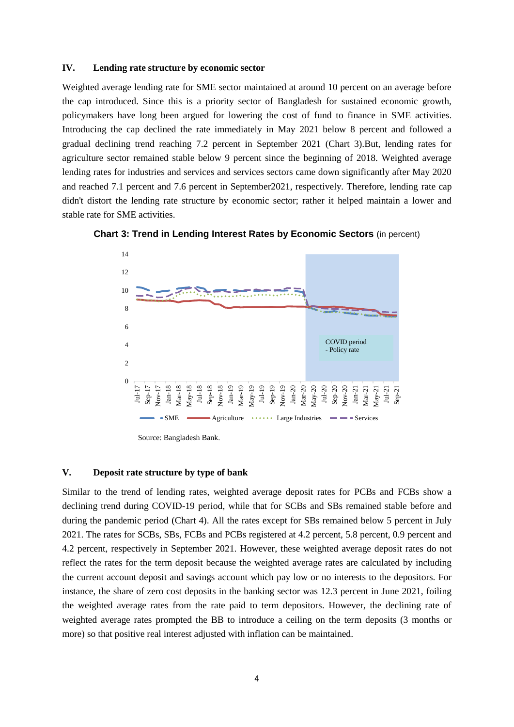#### **IV. Lending rate structure by economic sector**

Weighted average lending rate for SME sector maintained at around 10 percent on an average before the cap introduced. Since this is a priority sector of Bangladesh for sustained economic growth, policymakers have long been argued for lowering the cost of fund to finance in SME activities. Introducing the cap declined the rate immediately in May 2021 below 8 percent and followed a gradual declining trend reaching 7.2 percent in September 2021 (Chart 3).But, lending rates for agriculture sector remained stable below 9 percent since the beginning of 2018. Weighted average lending rates for industries and services and services sectors came down significantly after May 2020 and reached 7.1 percent and 7.6 percent in September2021, respectively. Therefore, lending rate cap didn't distort the lending rate structure by economic sector; rather it helped maintain a lower and stable rate for SME activities.





Source: Bangladesh Bank.

#### **V. Deposit rate structure by type of bank**

Similar to the trend of lending rates, weighted average deposit rates for PCBs and FCBs show a declining trend during COVID-19 period, while that for SCBs and SBs remained stable before and during the pandemic period (Chart 4). All the rates except for SBs remained below 5 percent in July 2021. The rates for SCBs, SBs, FCBs and PCBs registered at 4.2 percent, 5.8 percent, 0.9 percent and 4.2 percent, respectively in September 2021. However, these weighted average deposit rates do not reflect the rates for the term deposit because the weighted average rates are calculated by including the current account deposit and savings account which pay low or no interests to the depositors. For instance, the share of zero cost deposits in the banking sector was 12.3 percent in June 2021, foiling the weighted average rates from the rate paid to term depositors. However, the declining rate of weighted average rates prompted the BB to introduce a ceiling on the term deposits (3 months or more) so that positive real interest adjusted with inflation can be maintained.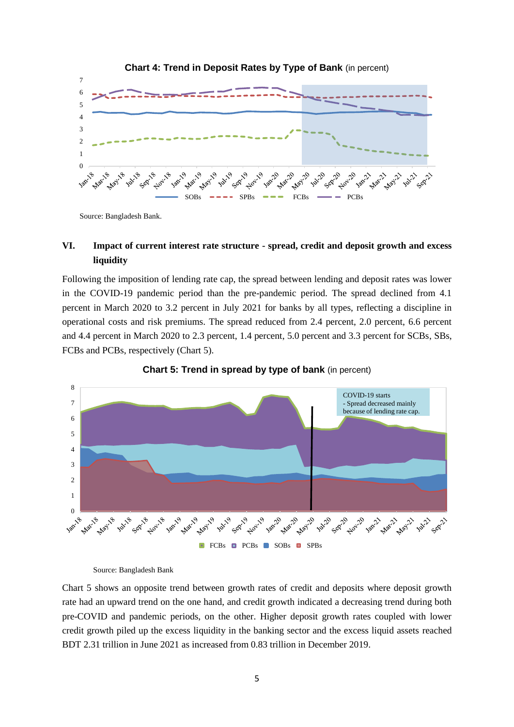

**Chart 4: Trend in Deposit Rates by Type of Bank** (in percent)

Source: Bangladesh Bank.

## **VI. Impact of current interest rate structure - spread, credit and deposit growth and excess liquidity**

Following the imposition of lending rate cap, the spread between lending and deposit rates was lower in the COVID-19 pandemic period than the pre-pandemic period. The spread declined from 4.1 percent in March 2020 to 3.2 percent in July 2021 for banks by all types, reflecting a discipline in operational costs and risk premiums. The spread reduced from 2.4 percent, 2.0 percent, 6.6 percent and 4.4 percent in March 2020 to 2.3 percent, 1.4 percent, 5.0 percent and 3.3 percent for SCBs, SBs, FCBs and PCBs, respectively (Chart 5).





Source: Bangladesh Bank

Chart 5 shows an opposite trend between growth rates of credit and deposits where deposit growth rate had an upward trend on the one hand, and credit growth indicated a decreasing trend during both pre-COVID and pandemic periods, on the other. Higher deposit growth rates coupled with lower credit growth piled up the excess liquidity in the banking sector and the excess liquid assets reached BDT 2.31 trillion in June 2021 as increased from 0.83 trillion in December 2019.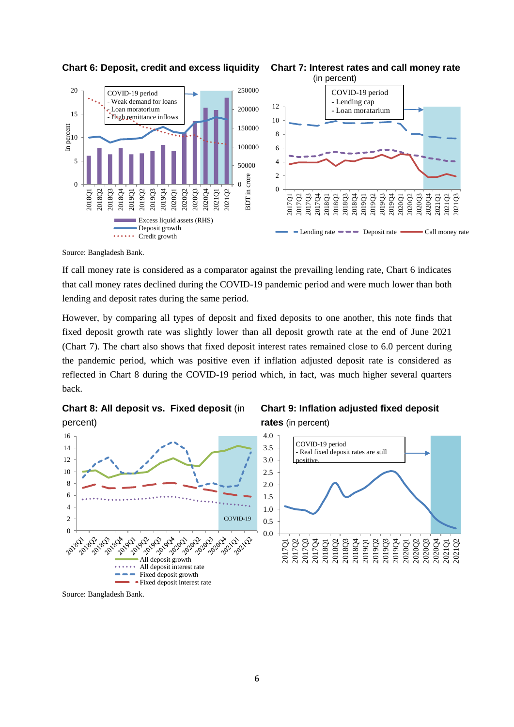

**Chart 6: Deposit, credit and excess liquidity Chart 7: Interest rates and call money rate** 



 $\blacksquare$  Lending rate  $\blacksquare$   $\blacksquare$  Deposit rate  $\blacksquare$  Call money rate

Source: Bangladesh Bank.

If call money rate is considered as a comparator against the prevailing lending rate, Chart 6 indicates that call money rates declined during the COVID-19 pandemic period and were much lower than both lending and deposit rates during the same period.

However, by comparing all types of deposit and fixed deposits to one another, this note finds that fixed deposit growth rate was slightly lower than all deposit growth rate at the end of June 2021 (Chart 7). The chart also shows that fixed deposit interest rates remained close to 6.0 percent during the pandemic period, which was positive even if inflation adjusted deposit rate is considered as reflected in Chart 8 during the COVID-19 period which, in fact, was much higher several quarters back.



Fixed deposit interest rate

## **Chart 9: Inflation adjusted fixed deposit rates** (in percent)



Source: Bangladesh Bank.

22 a2 a3<br>23 a3 a3

2018-201 104.901

 $-\frac{1}{2}e^{\sqrt{6}}$